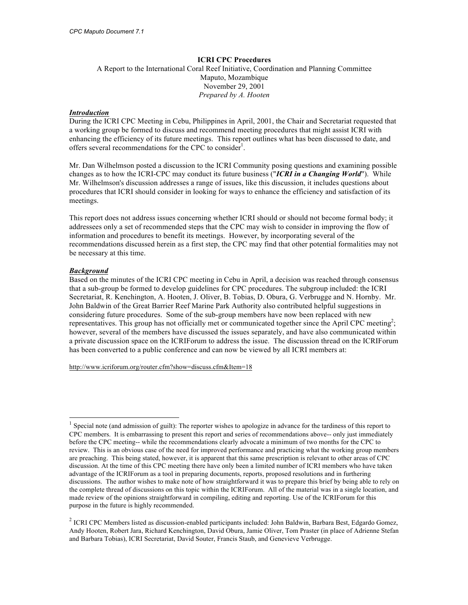## **ICRI CPC Procedures**

A Report to the International Coral Reef Initiative, Coordination and Planning Committee Maputo, Mozambique November 29, 2001 *Prepared by A. Hooten*

## *Introduction*

During the ICRI CPC Meeting in Cebu, Philippines in April, 2001, the Chair and Secretariat requested that a working group be formed to discuss and recommend meeting procedures that might assist ICRI with enhancing the efficiency of its future meetings. This report outlines what has been discussed to date, and offers several recommendations for the CPC to consider<sup>1</sup>.

Mr. Dan Wilhelmson posted a discussion to the ICRI Community posing questions and examining possible changes as to how the ICRI-CPC may conduct its future business ("*ICRI in a Changing World*"). While Mr. Wilhelmson's discussion addresses a range of issues, like this discussion, it includes questions about procedures that ICRI should consider in looking for ways to enhance the efficiency and satisfaction of its meetings.

This report does not address issues concerning whether ICRI should or should not become formal body; it addressees only a set of recommended steps that the CPC may wish to consider in improving the flow of information and procedures to benefit its meetings. However, by incorporating several of the recommendations discussed herein as a first step, the CPC may find that other potential formalities may not be necessary at this time.

# *Background*

Based on the minutes of the ICRI CPC meeting in Cebu in April, a decision was reached through consensus that a sub-group be formed to develop guidelines for CPC procedures. The subgroup included: the ICRI Secretariat, R. Kenchington, A. Hooten, J. Oliver, B. Tobias, D. Obura, G. Verbrugge and N. Hornby. Mr. John Baldwin of the Great Barrier Reef Marine Park Authority also contributed helpful suggestions in considering future procedures. Some of the sub-group members have now been replaced with new representatives. This group has not officially met or communicated together since the April CPC meeting<sup>2</sup>; however, several of the members have discussed the issues separately, and have also communicated within a private discussion space on the ICRIForum to address the issue. The discussion thread on the ICRIForum has been converted to a public conference and can now be viewed by all ICRI members at:

http://www.icriforum.org/router.cfm?show=discuss.cfm&Item=18

Special note (and admission of guilt): The reporter wishes to apologize in advance for the tardiness of this report to CPC members. It is embarrassing to present this report and series of recommendations above-- only just immediately before the CPC meeting-- while the recommendations clearly advocate a minimum of two months for the CPC to review. This is an obvious case of the need for improved performance and practicing what the working group members are preaching. This being stated, however, it is apparent that this same prescription is relevant to other areas of CPC discussion. At the time of this CPC meeting there have only been a limited number of ICRI members who have taken advantage of the ICRIForum as a tool in preparing documents, reports, proposed resolutions and in furthering discussions. The author wishes to make note of how straightforward it was to prepare this brief by being able to rely on the complete thread of discussions on this topic within the ICRIForum. All of the material was in a single location, and made review of the opinions straightforward in compiling, editing and reporting. Use of the ICRIForum for this purpose in the future is highly recommended.

<sup>&</sup>lt;sup>2</sup> ICRI CPC Members listed as discussion-enabled participants included: John Baldwin, Barbara Best, Edgardo Gomez, Andy Hooten, Robert Jara, Richard Kenchington, David Obura, Jamie Oliver, Tom Praster (in place of Adrienne Stefan and Barbara Tobias), ICRI Secretariat, David Souter, Francis Staub, and Genevieve Verbrugge.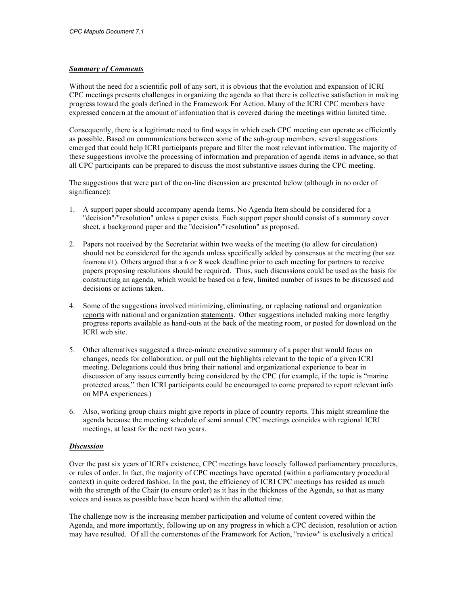## *Summary of Comments*

Without the need for a scientific poll of any sort, it is obvious that the evolution and expansion of ICRI CPC meetings presents challenges in organizing the agenda so that there is collective satisfaction in making progress toward the goals defined in the Framework For Action. Many of the ICRI CPC members have expressed concern at the amount of information that is covered during the meetings within limited time.

Consequently, there is a legitimate need to find ways in which each CPC meeting can operate as efficiently as possible. Based on communications between some of the sub-group members, several suggestions emerged that could help ICRI participants prepare and filter the most relevant information. The majority of these suggestions involve the processing of information and preparation of agenda items in advance, so that all CPC participants can be prepared to discuss the most substantive issues during the CPC meeting.

The suggestions that were part of the on-line discussion are presented below (although in no order of significance):

- 1. A support paper should accompany agenda Items. No Agenda Item should be considered for a "decision"/"resolution" unless a paper exists. Each support paper should consist of a summary cover sheet, a background paper and the "decision"/"resolution" as proposed.
- 2. Papers not received by the Secretariat within two weeks of the meeting (to allow for circulation) should not be considered for the agenda unless specifically added by consensus at the meeting (but see footnote #1). Others argued that a 6 or 8 week deadline prior to each meeting for partners to receive papers proposing resolutions should be required. Thus, such discussions could be used as the basis for constructing an agenda, which would be based on a few, limited number of issues to be discussed and decisions or actions taken.
- 4. Some of the suggestions involved minimizing, eliminating, or replacing national and organization reports with national and organization statements. Other suggestions included making more lengthy progress reports available as hand-outs at the back of the meeting room, or posted for download on the ICRI web site.
- 5. Other alternatives suggested a three-minute executive summary of a paper that would focus on changes, needs for collaboration, or pull out the highlights relevant to the topic of a given ICRI meeting. Delegations could thus bring their national and organizational experience to bear in discussion of any issues currently being considered by the CPC (for example, if the topic is "marine protected areas," then ICRI participants could be encouraged to come prepared to report relevant info on MPA experiences.)
- 6. Also, working group chairs might give reports in place of country reports. This might streamline the agenda because the meeting schedule of semi annual CPC meetings coincides with regional ICRI meetings, at least for the next two years.

#### *Discussion*

Over the past six years of ICRI's existence, CPC meetings have loosely followed parliamentary procedures, or rules of order. In fact, the majority of CPC meetings have operated (within a parliamentary procedural context) in quite ordered fashion. In the past, the efficiency of ICRI CPC meetings has resided as much with the strength of the Chair (to ensure order) as it has in the thickness of the Agenda, so that as many voices and issues as possible have been heard within the allotted time.

The challenge now is the increasing member participation and volume of content covered within the Agenda, and more importantly, following up on any progress in which a CPC decision, resolution or action may have resulted. Of all the cornerstones of the Framework for Action, "review" is exclusively a critical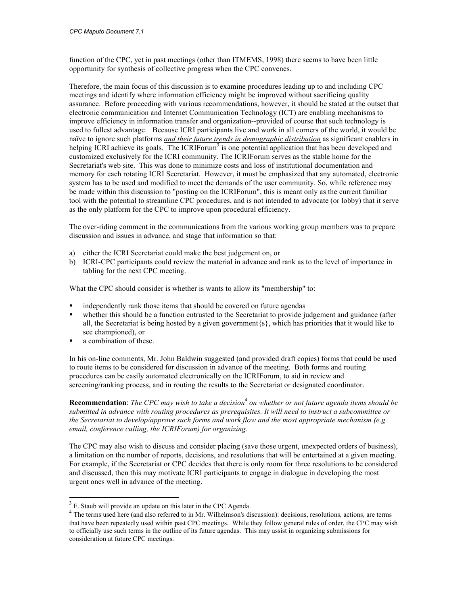function of the CPC, yet in past meetings (other than ITMEMS, 1998) there seems to have been little opportunity for synthesis of collective progress when the CPC convenes.

Therefore, the main focus of this discussion is to examine procedures leading up to and including CPC meetings and identify where information efficiency might be improved without sacrificing quality assurance. Before proceeding with various recommendations, however, it should be stated at the outset that electronic communication and Internet Communication Technology (ICT) are enabling mechanisms to improve efficiency in information transfer and organization--provided of course that such technology is used to fullest advantage. Because ICRI participants live and work in all corners of the world, it would be naïve to ignore such platforms *and their future trends in demographic distribution* as significant enablers in helping ICRI achieve its goals. The ICRIForum<sup>3</sup> is one potential application that has been developed and customized exclusively for the ICRI community. The ICRIForum serves as the stable home for the Secretariat's web site. This was done to minimize costs and loss of institutional documentation and memory for each rotating ICRI Secretariat. However, it must be emphasized that any automated, electronic system has to be used and modified to meet the demands of the user community. So, while reference may be made within this discussion to "posting on the ICRIForum", this is meant only as the current familiar tool with the potential to streamline CPC procedures, and is not intended to advocate (or lobby) that it serve as the only platform for the CPC to improve upon procedural efficiency.

The over-riding comment in the communications from the various working group members was to prepare discussion and issues in advance, and stage that information so that:

- a) either the ICRI Secretariat could make the best judgement on, or
- b) ICRI-CPC participants could review the material in advance and rank as to the level of importance in tabling for the next CPC meeting.

What the CPC should consider is whether is wants to allow its "membership" to:

- independently rank those items that should be covered on future agendas
- whether this should be a function entrusted to the Secretariat to provide judgement and guidance (after all, the Secretariat is being hosted by a given government  $\{s\}$ , which has priorities that it would like to see championed), or
- a combination of these.

In his on-line comments, Mr. John Baldwin suggested (and provided draft copies) forms that could be used to route items to be considered for discussion in advance of the meeting. Both forms and routing procedures can be easily automated electronically on the ICRIForum, to aid in review and screening/ranking process, and in routing the results to the Secretariat or designated coordinator.

**Recommendation**: *The CPC may wish to take a decision*<sup>4</sup> *on whether or not future agenda items should be submitted in advance with routing procedures as prerequisites. It will need to instruct a subcommittee or the Secretariat to develop/approve such forms and work flow and the most appropriate mechanism (e.g. email, conference calling, the ICRIForum) for organizing.*

The CPC may also wish to discuss and consider placing (save those urgent, unexpected orders of business), a limitation on the number of reports, decisions, and resolutions that will be entertained at a given meeting. For example, if the Secretariat or CPC decides that there is only room for three resolutions to be considered and discussed, then this may motivate ICRI participants to engage in dialogue in developing the most urgent ones well in advance of the meeting.

<sup>&</sup>lt;sup>3</sup> F. Staub will provide an update on this later in the CPC Agenda.

<sup>&</sup>lt;sup>4</sup> The terms used here (and also referred to in Mr. Wilhelmson's discussion): decisions, resolutions, actions, are terms that have been repeatedly used within past CPC meetings. While they follow general rules of order, the CPC may wish to officially use such terms in the outline of its future agendas. This may assist in organizing submissions for consideration at future CPC meetings.